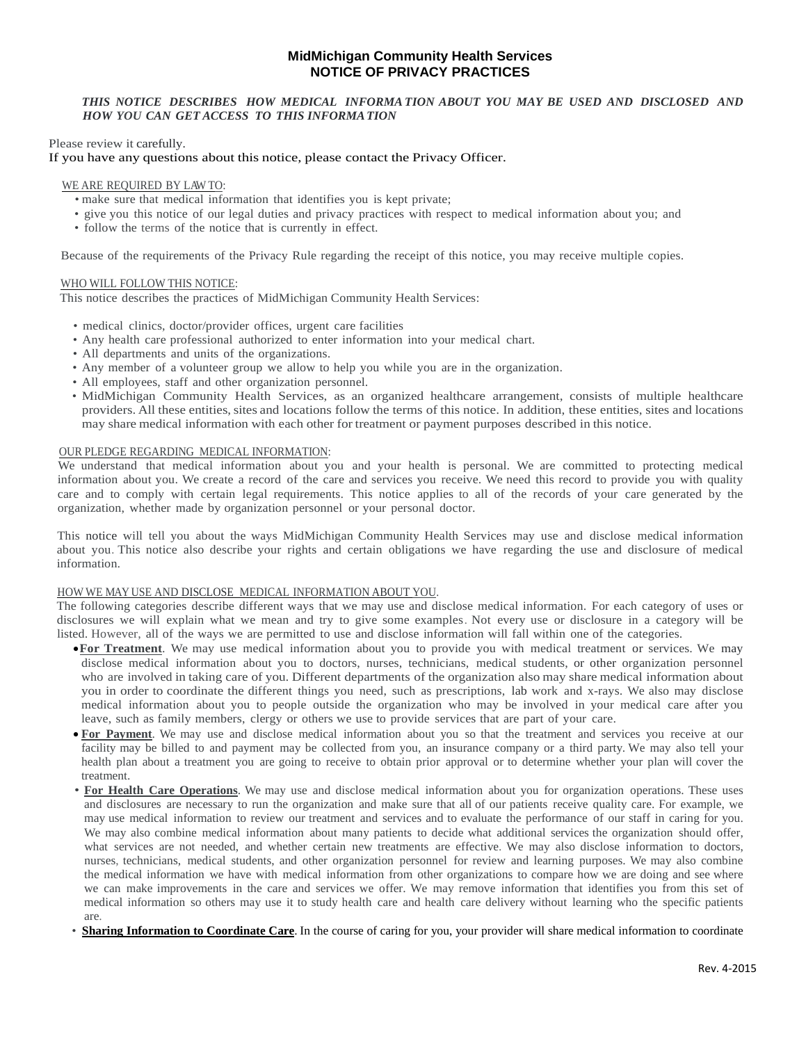# **MidMichigan Community Health Services NOTICE OF PRIVACY PRACTICES**

# *THIS NOTICE DESCRIBES HOW MEDICAL INFORMATION ABOUT YOU MAY BE USED AND DISCLOSED AND HOW YOU CAN GET ACCESS TO THIS INFORMATION*

Please review it carefully.

If you have any questions about this notice, please contact the Privacy Officer.

# WE ARE REQUIRED BY LAW TO:

- make sure that medical information that identifies you is kept private;
- give you this notice of our legal duties and privacy practices with respect to medical information about you; and
- follow the terms of the notice that is currently in effect.

Because of the requirements of the Privacy Rule regarding the receipt of this notice, you may receive multiple copies.

#### WHO WILL FOLLOW THIS NOTICE:

This notice describes the practices of MidMichigan Community Health Services:

- medical clinics, doctor/provider offices, urgent care facilities
- Any health care professional authorized to enter information into your medical chart.
- All departments and units of the organizations.
- Any member of a volunteer group we allow to help you while you are in the organization.
- All employees, staff and other organization personnel.
- MidMichigan Community Health Services, as an organized healthcare arrangement, consists of multiple healthcare providers. All these entities, sites and locations follow the terms of this notice. In addition, these entities, sites and locations may share medical information with each other for treatment or payment purposes described in this notice.

#### OUR PLEDGE REGARDING MEDICAL INFORMATION:

We understand that medical information about you and your health is personal. We are committed to protecting medical information about you. We create a record of the care and services you receive. We need this record to provide you with quality care and to comply with certain legal requirements. This notice applies to all of the records of your care generated by the organization, whether made by organization personnel or your personal doctor.

This notice will tell you about the ways MidMichigan Community Health Services may use and disclose medical information about you. This notice also describe your rights and certain obligations we have regarding the use and disclosure of medical information.

# HOW WE MAY USE AND DISCLOSE MEDICAL INFORMATION ABOUT YOU.

The following categories describe different ways that we may use and disclose medical information. For each category of uses or disclosures we will explain what we mean and try to give some examples. Not every use or disclosure in a category will be listed. However, all of the ways we are permitted to use and disclose information will fall within one of the categories.

- •**For Treatment**. We may use medical information about you to provide you with medical treatment or services. We may disclose medical information about you to doctors, nurses, technicians, medical students, or other organization personnel who are involved in taking care of you. Different departments of the organization also may share medical information about you in order to coordinate the different things you need, such as prescriptions, lab work and x-rays. We also may disclose medical information about you to people outside the organization who may be involved in your medical care after you leave, such as family members, clergy or others we use to provide services that are part of your care.
- **For Payment**. We may use and disclose medical information about you so that the treatment and services you receive at our facility may be billed to and payment may be collected from you, an insurance company or a third party. We may also tell your health plan about a treatment you are going to receive to obtain prior approval or to determine whether your plan will cover the treatment.
- **For Health Care Operations**. We may use and disclose medical information about you for organization operations. These uses and disclosures are necessary to run the organization and make sure that all of our patients receive quality care. For example, we may use medical information to review our treatment and services and to evaluate the performance of our staff in caring for you. We may also combine medical information about many patients to decide what additional services the organization should offer, what services are not needed, and whether certain new treatments are effective. We may also disclose information to doctors, nurses, technicians, medical students, and other organization personnel for review and learning purposes. We may also combine the medical information we have with medical information from other organizations to compare how we are doing and see where we can make improvements in the care and services we offer. We may remove information that identifies you from this set of medical information so others may use it to study health care and health care delivery without learning who the specific patients are.
- **Sharing Information to Coordinate Care**. In the course of caring for you, your provider will share medical information to coordinate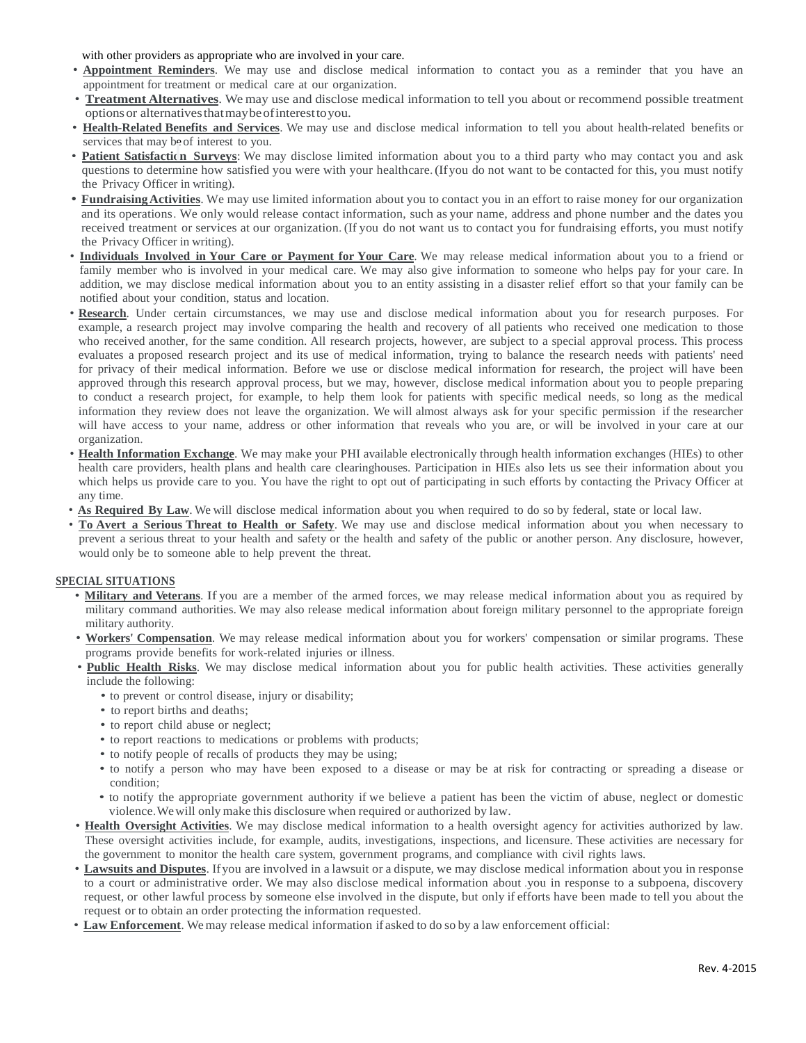with other providers as appropriate who are involved in your care.

- **Appointment Reminders**. We may use and disclose medical information to contact you as a reminder that you have an appointment for treatment or medical care at our organization.
- **Treatment Alternatives**. We may use and disclose medical information to tell you about or recommend possible treatment optionsor alternativesthatmaybeofinteresttoyou.
- **Health-Related Benefits and Services**. We may use and disclose medical information to tell you about health-related benefits or services that may beof interest to you.
- **Patient Satisfaction Surveys**: We may disclose limited information about you to a third party who may contact you and ask questions to determine how satisfied you were with your healthcare.(Ifyou do not want to be contacted for this, you must notify the Privacy Officer in writing).
- **FundraisingActivities**. We may use limited information about you to contact you in an effort to raise money for our organization and its operations. We only would release contact information, such as your name, address and phone number and the dates you received treatment or services at our organization. (If you do not want us to contact you for fundraising efforts, you must notify the Privacy Officer in writing).
- **Individuals Involved in Your Care or Payment for Your Care**. We may release medical information about you to a friend or family member who is involved in your medical care. We may also give information to someone who helps pay for your care. In addition, we may disclose medical information about you to an entity assisting in a disaster relief effort so that your family can be notified about your condition, status and location.
- **Research**. Under certain circumstances, we may use and disclose medical information about you for research purposes. For example, a research project may involve comparing the health and recovery of all patients who received one medication to those who received another, for the same condition. All research projects, however, are subject to a special approval process. This process evaluates a proposed research project and its use of medical information, trying to balance the research needs with patients' need for privacy of their medical information. Before we use or disclose medical information for research, the project will have been approved through this research approval process, but we may, however, disclose medical information about you to people preparing to conduct a research project, for example, to help them look for patients with specific medical needs, so long as the medical information they review does not leave the organization. We will almost always ask for your specific permission if the researcher will have access to your name, address or other information that reveals who you are, or will be involved in your care at our organization.
- **Health Information Exchange**. We may make your PHI available electronically through health information exchanges (HIEs) to other health care providers, health plans and health care clearinghouses. Participation in HIEs also lets us see their information about you which helps us provide care to you. You have the right to opt out of participating in such efforts by contacting the Privacy Officer at any time.
- **As Required By Law**. We will disclose medical information about you when required to do so by federal, state or local law.
- **To Avert a Serious Threat to Health or Safety**. We may use and disclose medical information about you when necessary to prevent a serious threat to your health and safety or the health and safety of the public or another person. Any disclosure, however, would only be to someone able to help prevent the threat.

# **SPECIAL SITUATIONS**

- **Military and Veterans**. If you are a member of the armed forces, we may release medical information about you as required by military command authorities. We may also release medical information about foreign military personnel to the appropriate foreign military authority.
- **Workers' Compensation**. We may release medical information about you for workers' compensation or similar programs. These programs provide benefits for work-related injuries or illness.
- **Public Health Risks**. We may disclose medical information about you for public health activities. These activities generally include the following:
	- to prevent or control disease, injury or disability;
	- to report births and deaths;
	- to report child abuse or neglect;
	- to report reactions to medications or problems with products;
	- to notify people of recalls of products they may be using;
	- to notify a person who may have been exposed to a disease or may be at risk for contracting or spreading a disease or condition;
	- to notify the appropriate government authority if we believe a patient has been the victim of abuse, neglect or domestic violence.Wewill only make this disclosure when required or authorized by law.
- **Health Oversight Activities**. We may disclose medical information to a health oversight agency for activities authorized by law. These oversight activities include, for example, audits, investigations, inspections, and licensure. These activities are necessary for the government to monitor the health care system, government programs, and compliance with civil rights laws.
- **Lawsuits and Disputes**. Ifyou are involved in a lawsuit or a dispute, we may disclose medical information about you in response to a court or administrative order. We may also disclose medical information about .you in response to a subpoena, discovery request, or other lawful process by someone else involved in the dispute, but only if efforts have been made to tell you about the request or to obtain an order protecting the information requested.
- **Law Enforcement**. Wemay release medical information if asked to do so by a law enforcement official: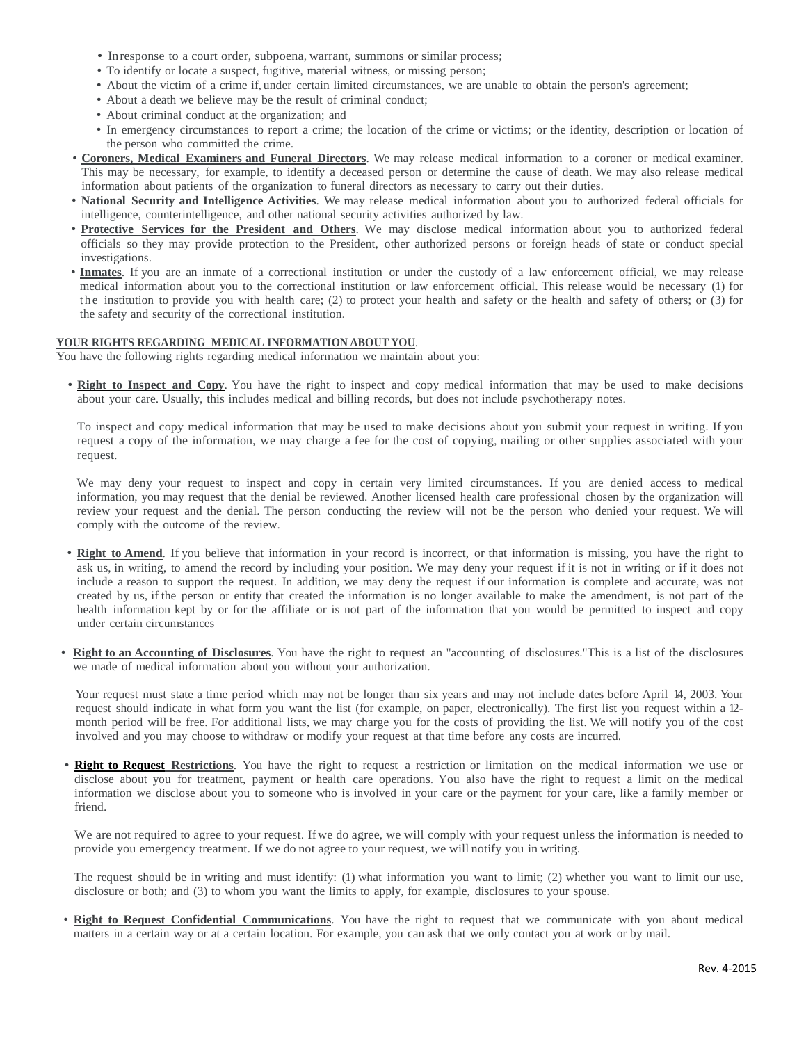- Inresponse to a court order, subpoena, warrant, summons or similar process;
- To identify or locate a suspect, fugitive, material witness, or missing person;
- About the victim of a crime if, under certain limited circumstances, we are unable to obtain the person's agreement;
- About a death we believe may be the result of criminal conduct;
- About criminal conduct at the organization; and
- In emergency circumstances to report a crime; the location of the crime or victims; or the identity, description or location of the person who committed the crime.
- **Coroners, Medical Examiners and Funeral Directors**. We may release medical information to a coroner or medical examiner. This may be necessary, for example, to identify a deceased person or determine the cause of death. We may also release medical information about patients of the organization to funeral directors as necessary to carry out their duties.
- **National Security and Intelligence Activities**. We may release medical information about you to authorized federal officials for intelligence, counterintelligence, and other national security activities authorized by law.
- **Protective Services for the President and Others**. We may disclose medical information about you to authorized federal officials so they may provide protection to the President, other authorized persons or foreign heads of state or conduct special investigations.
- **Inmates**. If you are an inmate of a correctional institution or under the custody of a law enforcement official, we may release medical information about you to the correctional institution or law enforcement official. This release would be necessary (1) for the institution to provide you with health care; (2) to protect your health and safety or the health and safety of others; or (3) for the safety and security of the correctional institution.

### **YOUR RIGHTS REGARDING MEDICAL INFORMATION ABOUT YOU**.

You have the following rights regarding medical information we maintain about you:

• **Right to Inspect and Copy**. You have the right to inspect and copy medical information that may be used to make decisions about your care. Usually, this includes medical and billing records, but does not include psychotherapy notes.

To inspect and copy medical information that may be used to make decisions about you submit your request in writing. If you request a copy of the information, we may charge a fee for the cost of copying, mailing or other supplies associated with your request.

We may deny your request to inspect and copy in certain very limited circumstances. If you are denied access to medical information, you may request that the denial be reviewed. Another licensed health care professional chosen by the organization will review your request and the denial. The person conducting the review will not be the person who denied your request. We will comply with the outcome of the review.

- **Right** to **Amend**. If you believe that information in your record is incorrect, or that information is missing, you have the right to ask us, in writing, to amend the record by including your position. We may deny your request if it is not in writing or if it does not include a reason to support the request. In addition, we may deny the request if our information is complete and accurate, was not created by us, if the person or entity that created the information is no longer available to make the amendment, is not part of the health information kept by or for the affiliate or is not part of the information that you would be permitted to inspect and copy under certain circumstances
- **Right to an Accounting of Disclosures**. You have the right to request an "accounting of disclosures."This is a list of the disclosures we made of medical information about you without your authorization.

Your request must state a time period which may not be longer than six years and may not include dates before April 14, 2003. Your request should indicate in what form you want the list (for example, on paper, electronically). The first list you request within a 12 month period will be free. For additional lists, we may charge you for the costs of providing the list. We will notify you of the cost involved and you may choose to withdraw or modify your request at that time before any costs are incurred.

**Right to Request** Restrictions. You have the right to request a restriction or limitation on the medical information we use or disclose about you for treatment, payment or health care operations. You also have the right to request a limit on the medical information we disclose about you to someone who is involved in your care or the payment for your care, like a family member or friend.

We are not required to agree to your request. Ifwe do agree, we will comply with your request unless the information is needed to provide you emergency treatment. If we do not agree to your request, we will notify you in writing.

The request should be in writing and must identify: (1) what information you want to limit; (2) whether you want to limit our use, disclosure or both; and (3) to whom you want the limits to apply, for example, disclosures to your spouse.

• **Right to Request Confidential Communications**. You have the right to request that we communicate with you about medical matters in a certain way or at a certain location. For example, you can ask that we only contact you at work or by mail.